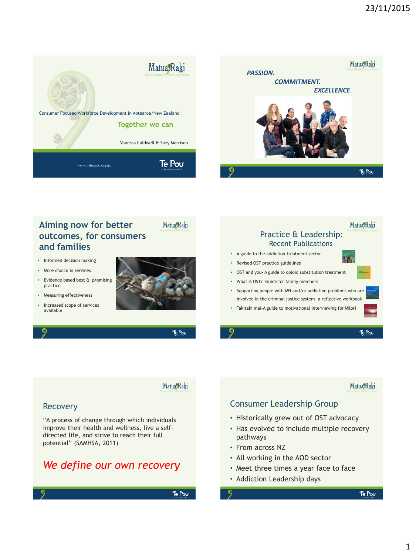



#### Matua Raki

#### **Recovery**

"A process of change through which individuals improve their health and wellness, live a selfdirected life, and strive to reach their full potential" (SAMHSA, 2011)

# *We define our own recovery*

Te Pou



### Consumer Leadership Group

- Historically grew out of OST advocacy
- Has evolved to include multiple recovery pathways
- From across NZ
- All working in the AOD sector
- Meet three times a year face to face
- Addiction Leadership days